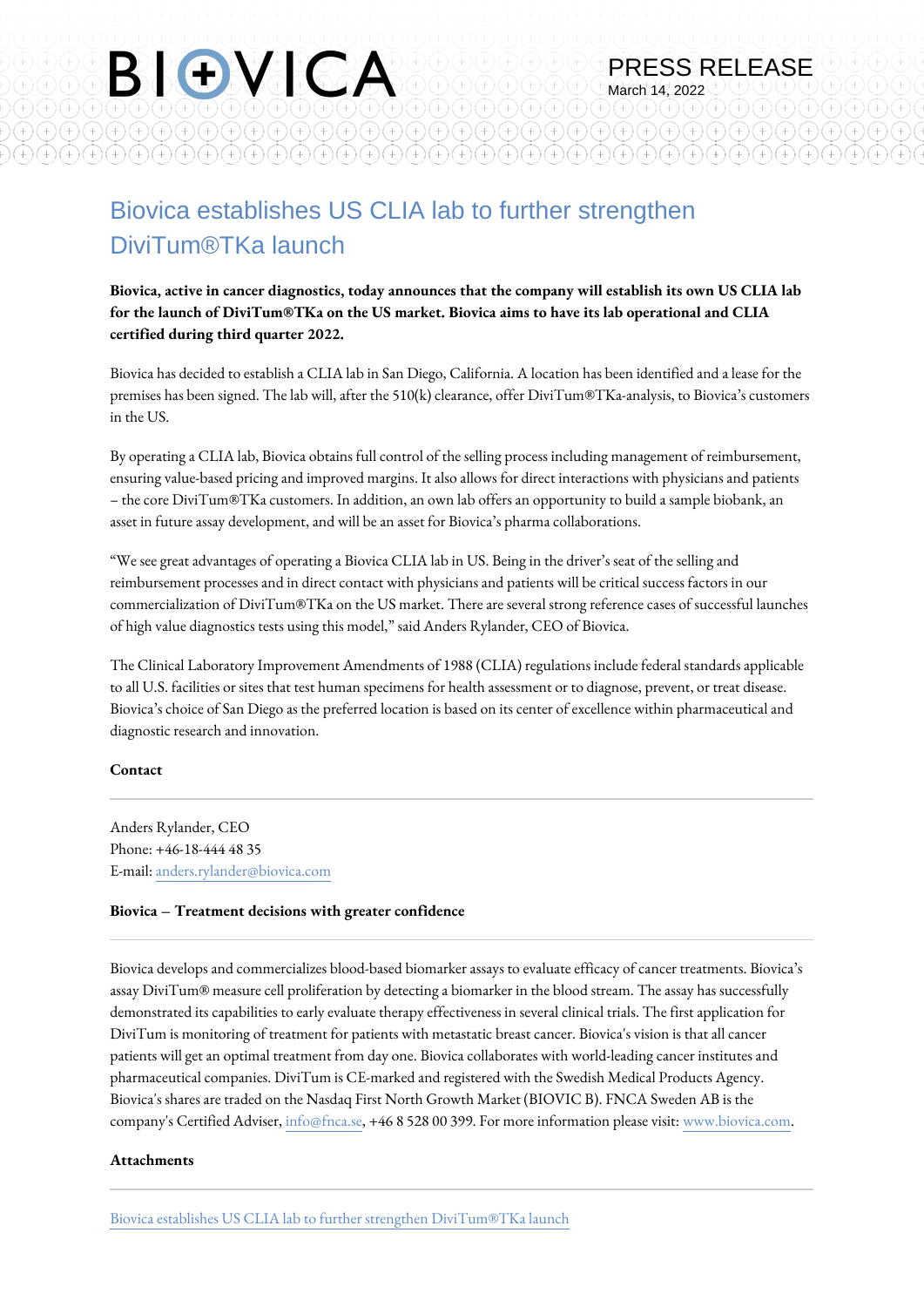## Biovica establishes US CLIA lab to further strengthen DiviTum®TKa launch

BIOVICA

 $\bigl(\textcolor{black}{\bigoplus}\bigl(\textcolor{black}{\bigoplus}\bigl(\textcolor{black}{\bigoplus}\bigl(\textcolor{black}{\bigoplus}\bigl(\textcolor{black}{\bigoplus}\bigl(\textcolor{black}{\bigoplus}\bigl(\textcolor{black}{\bigoplus}\bigl(\textcolor{black}{\bigoplus}\bigl(\textcolor{black}{\bigoplus}\bigl(\textcolor{black}{\bigoplus}\bigl(\textcolor{black}{\bigoplus}\bigl(\textcolor{black}{\bigoplus}\bigl(\textcolor{black}{\bigoplus}\bigl(\textcolor{black}{\bigoplus}\bigl(\textcolor{black}{\bigoplus}\bigl(\textcolor{black}{\bigoplus}\bigl(\textcolor{black}{\bigopl$ 

 $^{+)}$   $^{+)}$   $^{+)}$   $^{+)}$   $^{+)}$   $^{+)}$   $^{+)}$   $^{+)}$   $^{+)}$   $^{+)}$   $^{+)}$   $^{+)}$   $^{+)}$   $^{+)}$   $^{+)}$   $^{+)}$   $^{+)}$   $^{+)}$   $^{+)}$   $^{+)}$   $^{+)}$   $^{+)}$   $^{+)}$   $^{+)}$   $^{+)}$   $^{+)}$   $^{+)}$   $^{+)}$   $^{+)}$   $^{+)}$   $^{+)}$   $^{+)}$   $^{+)}$   $^{+)}$   $^{+)}$   $^{+)}$   $^{+)}$ 

**Biovica, active in cancer diagnostics, today announces that the company will establish its own US CLIA lab for the launch of DiviTum®TKa on the US market. Biovica aims to have its lab operational and CLIA certified during third quarter 2022.**

PRESS RELEASE

 $^{+}$ 

March 14, 2022

 $(+)(+)(+)(+)(+)(+)(+)(+)(+)$ 

 $^{+)}$ 

 $\textcolor{blue}{\textcircled{\textup{\texttt{+}}}}} \textcolor{blue}{\textcircled{\textup{\texttt{+}}}} \textcolor{blue}{\textcircled{\textup{\texttt{+}}}} \textcolor{blue}{\textcircled{\textup{\texttt{+}}}} \textcolor{blue}{\textcircled{\textup{\texttt{+}}}} \textcolor{blue}{\textcircled{\textup{\texttt{+}}}} \textcolor{blue}{\textcircled{\textup{\texttt{+}}}} \textcolor{blue}{\textcircled{\textup{\texttt{+}}}} \textcolor{blue}{\textcircled{\textup{\texttt{+}}}} \textcolor{blue}{\textcircled{\textup{\texttt{+}}}} \textcolor{blue}{\textcircled{\textup{\texttt{+}}}}$ 

Biovica has decided to establish a CLIA lab in San Diego, California. A location has been identified and a lease for the premises has been signed. The lab will, after the 510(k) clearance, offer DiviTum®TKa-analysis, to Biovica's customers in the US.

By operating a CLIA lab, Biovica obtains full control of the selling process including management of reimbursement, ensuring value-based pricing and improved margins. It also allows for direct interactions with physicians and patients – the core DiviTum®TKa customers. In addition, an own lab offers an opportunity to build a sample biobank, an asset in future assay development, and will be an asset for Biovica's pharma collaborations.

"We see great advantages of operating a Biovica CLIA lab in US. Being in the driver's seat of the selling and reimbursement processes and in direct contact with physicians and patients will be critical success factors in our commercialization of DiviTum®TKa on the US market. There are several strong reference cases of successful launches of high value diagnostics tests using this model," said Anders Rylander, CEO of Biovica.

The Clinical Laboratory Improvement Amendments of 1988 (CLIA) regulations include federal standards applicable to all U.S. facilities or sites that test human specimens for health assessment or to diagnose, prevent, or treat disease. Biovica's choice of San Diego as the preferred location is based on its center of excellence within pharmaceutical and diagnostic research and innovation.

#### **Contact**

Anders Rylander, CEO Phone: +46-18-444 48 35 E-mail: [anders.rylander@biovica.com](mailto:anders.rylander@biovica.com)

#### **Biovica – Treatment decisions with greater confidence**

Biovica develops and commercializes blood-based biomarker assays to evaluate efficacy of cancer treatments. Biovica's assay DiviTum® measure cell proliferation by detecting a biomarker in the blood stream. The assay has successfully demonstrated its capabilities to early evaluate therapy effectiveness in several clinical trials. The first application for DiviTum is monitoring of treatment for patients with metastatic breast cancer. Biovica's vision is that all cancer patients will get an optimal treatment from day one. Biovica collaborates with world-leading cancer institutes and pharmaceutical companies. DiviTum is CE-marked and registered with the Swedish Medical Products Agency. Biovica's shares are traded on the Nasdaq First North Growth Market (BIOVIC B). FNCA Sweden AB is the company's Certified Adviser, [info@fnca.se](mailto:info@fnca.se), +46 8 528 00 399. For more information please visit: [www.biovica.com.](http://www.biovica.com)

#### **Attachments**